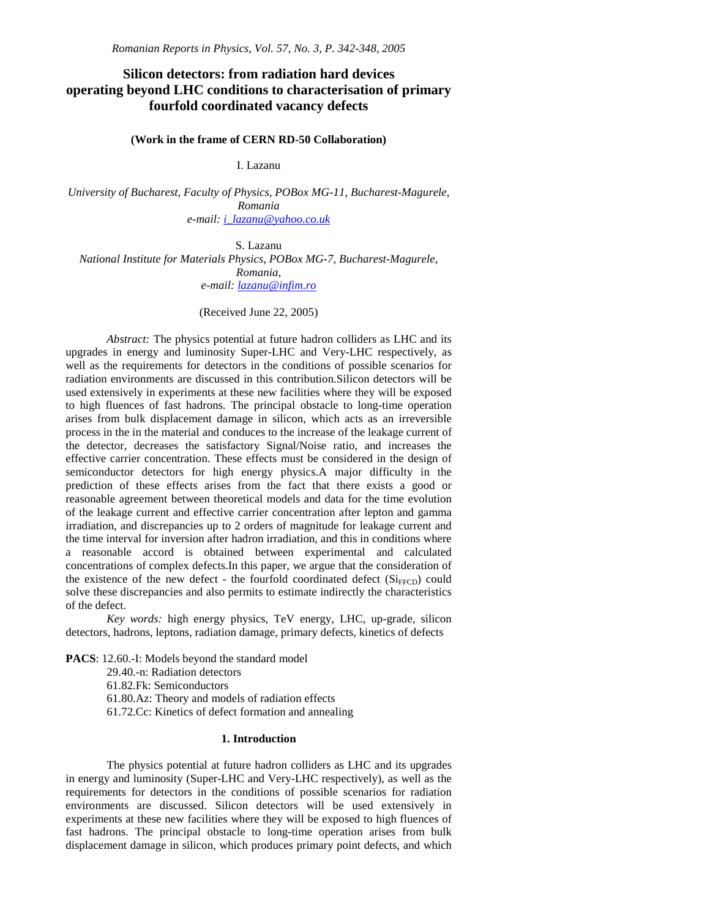# **Silicon detectors: from radiation hard devices operating beyond LHC conditions to characterisation of primary fourfold coordinated vacancy defects**

## **(Work in the frame of CERN RD-50 Collaboration)**

I. Lazanu

*University of Bucharest, Faculty of Physics, POBox MG-11, Bucharest-Magurele, Romania e-mail: i\_lazanu@yahoo.co.uk*

S. Lazanu *National Institute for Materials Physics, POBox MG-7, Bucharest-Magurele, Romania, e-mail: lazanu@infim.ro*

(Received June 22, 2005)

*Abstract:* The physics potential at future hadron colliders as LHC and its upgrades in energy and luminosity Super-LHC and Very-LHC respectively, as well as the requirements for detectors in the conditions of possible scenarios for radiation environments are discussed in this contribution.Silicon detectors will be used extensively in experiments at these new facilities where they will be exposed to high fluences of fast hadrons. The principal obstacle to long-time operation arises from bulk displacement damage in silicon, which acts as an irreversible process in the in the material and conduces to the increase of the leakage current of the detector, decreases the satisfactory Signal/Noise ratio, and increases the effective carrier concentration. These effects must be considered in the design of semiconductor detectors for high energy physics.A major difficulty in the prediction of these effects arises from the fact that there exists a good or reasonable agreement between theoretical models and data for the time evolution of the leakage current and effective carrier concentration after lepton and gamma irradiation, and discrepancies up to 2 orders of magnitude for leakage current and the time interval for inversion after hadron irradiation, and this in conditions where a reasonable accord is obtained between experimental and calculated concentrations of complex defects.In this paper, we argue that the consideration of the existence of the new defect - the fourfold coordinated defect  $(Si_{FFCD})$  could solve these discrepancies and also permits to estimate indirectly the characteristics of the defect.

*Key words:* high energy physics, TeV energy, LHC, up-grade, silicon detectors, hadrons, leptons, radiation damage, primary defects, kinetics of defects

**PACS**: 12.60.-I: Models beyond the standard model 29.40.-n: Radiation detectors 61.82.Fk: Semiconductors 61.80.Az: Theory and models of radiation effects

61.72.Cc: Kinetics of defect formation and annealing

# **1. Introduction**

The physics potential at future hadron colliders as LHC and its upgrades in energy and luminosity (Super-LHC and Very-LHC respectively), as well as the requirements for detectors in the conditions of possible scenarios for radiation environments are discussed. Silicon detectors will be used extensively in experiments at these new facilities where they will be exposed to high fluences of fast hadrons. The principal obstacle to long-time operation arises from bulk displacement damage in silicon, which produces primary point defects, and which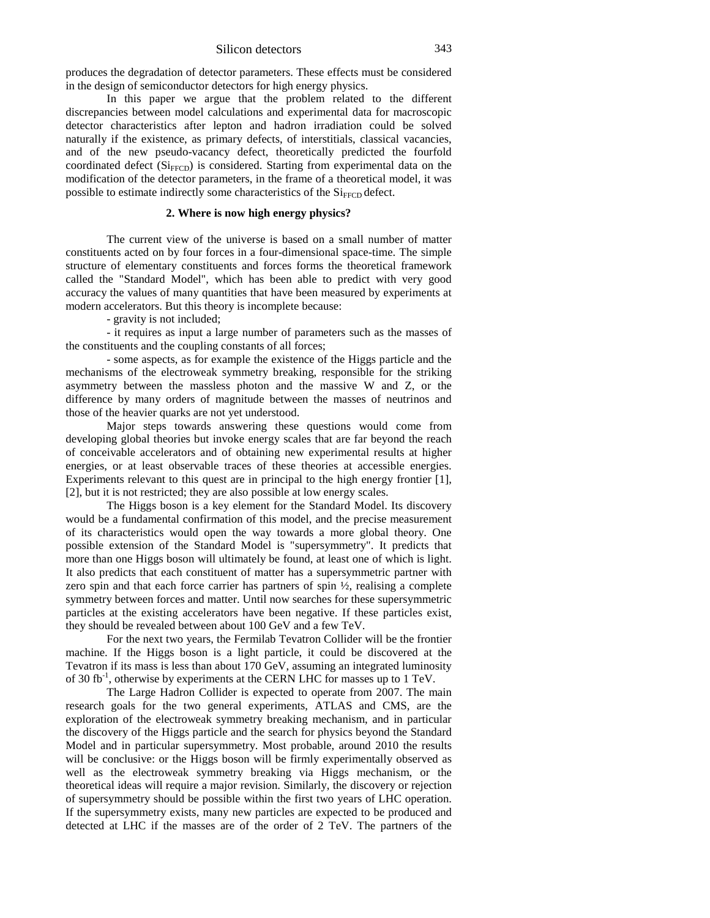produces the degradation of detector parameters. These effects must be considered in the design of semiconductor detectors for high energy physics.

In this paper we argue that the problem related to the different discrepancies between model calculations and experimental data for macroscopic detector characteristics after lepton and hadron irradiation could be solved naturally if the existence, as primary defects, of interstitials, classical vacancies, and of the new pseudo-vacancy defect, theoretically predicted the fourfold coordinated defect  $(Si_{FFCD})$  is considered. Starting from experimental data on the modification of the detector parameters, in the frame of a theoretical model, it was possible to estimate indirectly some characteristics of the  $Si<sub>FFCD</sub>$  defect.

## **2. Where is now high energy physics?**

The current view of the universe is based on a small number of matter constituents acted on by four forces in a four-dimensional space-time. The simple structure of elementary constituents and forces forms the theoretical framework called the "Standard Model", which has been able to predict with very good accuracy the values of many quantities that have been measured by experiments at modern accelerators. But this theory is incomplete because:

- gravity is not included;

- it requires as input a large number of parameters such as the masses of the constituents and the coupling constants of all forces;

- some aspects, as for example the existence of the Higgs particle and the mechanisms of the electroweak symmetry breaking, responsible for the striking asymmetry between the massless photon and the massive W and Z, or the difference by many orders of magnitude between the masses of neutrinos and those of the heavier quarks are not yet understood.

Major steps towards answering these questions would come from developing global theories but invoke energy scales that are far beyond the reach of conceivable accelerators and of obtaining new experimental results at higher energies, or at least observable traces of these theories at accessible energies. Experiments relevant to this quest are in principal to the high energy frontier [1], [2], but it is not restricted; they are also possible at low energy scales.

The Higgs boson is a key element for the Standard Model. Its discovery would be a fundamental confirmation of this model, and the precise measurement of its characteristics would open the way towards a more global theory. One possible extension of the Standard Model is "supersymmetry". It predicts that more than one Higgs boson will ultimately be found, at least one of which is light. It also predicts that each constituent of matter has a supersymmetric partner with zero spin and that each force carrier has partners of spin ½, realising a complete symmetry between forces and matter. Until now searches for these supersymmetric particles at the existing accelerators have been negative. If these particles exist, they should be revealed between about 100 GeV and a few TeV.

For the next two years, the Fermilab Tevatron Collider will be the frontier machine. If the Higgs boson is a light particle, it could be discovered at the Tevatron if its mass is less than about 170 GeV, assuming an integrated luminosity of 30 fb<sup>-1</sup>, otherwise by experiments at the CERN LHC for masses up to 1 TeV.

The Large Hadron Collider is expected to operate from 2007. The main research goals for the two general experiments, ATLAS and CMS, are the exploration of the electroweak symmetry breaking mechanism, and in particular the discovery of the Higgs particle and the search for physics beyond the Standard Model and in particular supersymmetry. Most probable, around 2010 the results will be conclusive: or the Higgs boson will be firmly experimentally observed as well as the electroweak symmetry breaking via Higgs mechanism, or the theoretical ideas will require a major revision. Similarly, the discovery or rejection of supersymmetry should be possible within the first two years of LHC operation. If the supersymmetry exists, many new particles are expected to be produced and detected at LHC if the masses are of the order of 2 TeV. The partners of the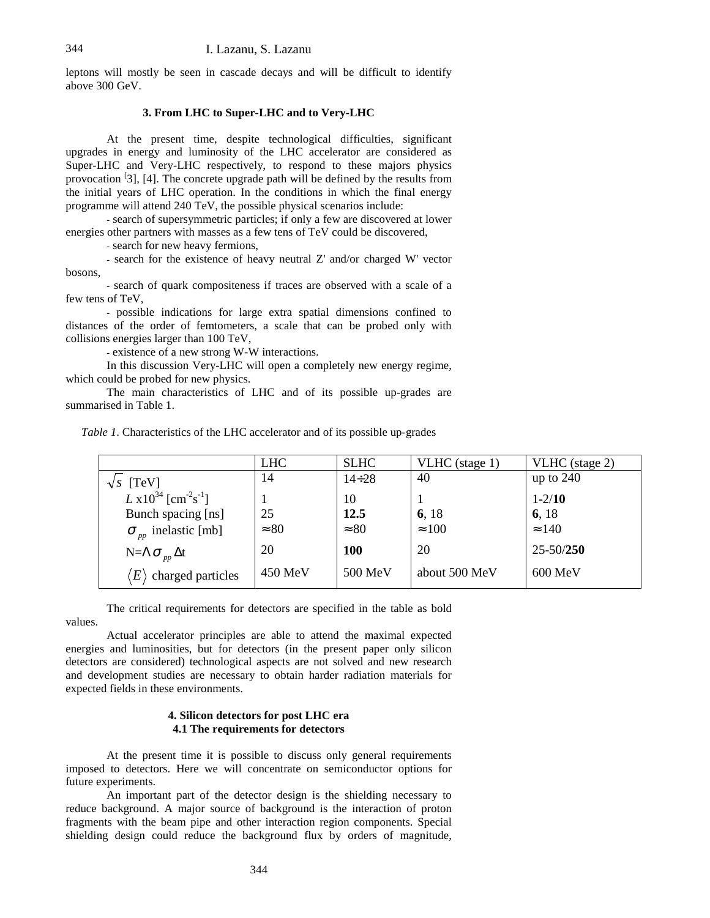leptons will mostly be seen in cascade decays and will be difficult to identify above 300 GeV.

## **3. From LHC to Super-LHC and to Very-LHC**

At the present time, despite technological difficulties, significant upgrades in energy and luminosity of the LHC accelerator are considered as Super-LHC and Very-LHC respectively, to respond to these majors physics provocation <sup>[3]</sup>, [4]. The concrete upgrade path will be defined by the results from the initial years of LHC operation. In the conditions in which the final energy programme will attend 240 TeV, the possible physical scenarios include:

- search of supersymmetric particles; if only a few are discovered at lower energies other partners with masses as a few tens of TeV could be discovered,

- search for new heavy fermions,

- search for the existence of heavy neutral Z' and/or charged W' vector bosons,

- search of quark compositeness if traces are observed with a scale of a few tens of TeV,

- possible indications for large extra spatial dimensions confined to distances of the order of femtometers, a scale that can be probed only with collisions energies larger than 100 TeV,

- existence of a new strong W-W interactions.

In this discussion Very-LHC will open a completely new energy regime, which could be probed for new physics.

The main characteristics of LHC and of its possible up-grades are summarised in Table 1.

|                                                        | <b>LHC</b>   | <b>SLHC</b>  | VLHC (stage 1) | VLHC (stage 2) |
|--------------------------------------------------------|--------------|--------------|----------------|----------------|
| $\sqrt{s}$ [TeV]                                       | 14           | $14 \div 28$ | 40             | up to $240$    |
| $L \times 10^{34}$ [cm <sup>-2</sup> s <sup>-1</sup> ] |              | 10           |                | $1 - 2/10$     |
| Bunch spacing [ns]                                     | 25           | 12.5         | 6, 18          | 6, 18          |
| $\sigma_{\text{np}}$ inelastic [mb]                    | $\approx 80$ | $\approx 80$ | $\approx 100$  | $\approx 140$  |
| $N=\Lambda \sigma_{pp} \Delta t$                       | 20           | <b>100</b>   | 20             | $25 - 50/250$  |
| $ E\rangle$<br>charged particles                       | $450$ MeV    | 500 MeV      | about 500 MeV  | 600 MeV        |

*Table 1*. Characteristics of the LHC accelerator and of its possible up-grades

The critical requirements for detectors are specified in the table as bold values.

Actual accelerator principles are able to attend the maximal expected energies and luminosities, but for detectors (in the present paper only silicon detectors are considered) technological aspects are not solved and new research and development studies are necessary to obtain harder radiation materials for expected fields in these environments.

#### **4. Silicon detectors for post LHC era 4.1 The requirements for detectors**

At the present time it is possible to discuss only general requirements imposed to detectors. Here we will concentrate on semiconductor options for future experiments.

An important part of the detector design is the shielding necessary to reduce background. A major source of background is the interaction of proton fragments with the beam pipe and other interaction region components. Special shielding design could reduce the background flux by orders of magnitude,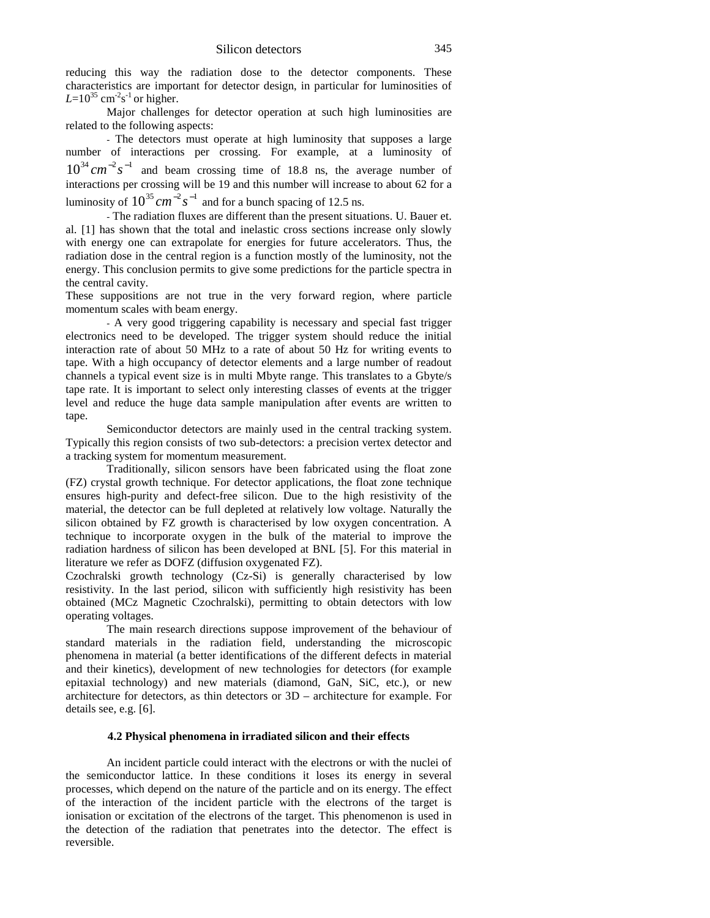reducing this way the radiation dose to the detector components. These characteristics are important for detector design, in particular for luminosities of  $L = 10^{35}$  cm<sup>-2</sup>s<sup>-1</sup> or higher.

Major challenges for detector operation at such high luminosities are related to the following aspects:

- The detectors must operate at high luminosity that supposes a large number of interactions per crossing. For example, at a luminosity of  $10^{34}$  cm<sup>-2</sup>s<sup>-1</sup> and beam crossing time of 18.8 ns, the average number of interactions per crossing will be 19 and this number will increase to about 62 for a luminosity of  $10^{35}$   $cm^{-2}$   $s^{-1}$  and for a bunch spacing of 12.5 ns.

- The radiation fluxes are different than the present situations. U. Bauer et. al. [1] has shown that the total and inelastic cross sections increase only slowly with energy one can extrapolate for energies for future accelerators. Thus, the radiation dose in the central region is a function mostly of the luminosity, not the energy. This conclusion permits to give some predictions for the particle spectra in the central cavity.

These suppositions are not true in the very forward region, where particle momentum scales with beam energy.

- A very good triggering capability is necessary and special fast trigger electronics need to be developed. The trigger system should reduce the initial interaction rate of about 50 MHz to a rate of about 50 Hz for writing events to tape. With a high occupancy of detector elements and a large number of readout channels a typical event size is in multi Mbyte range. This translates to a Gbyte/s tape rate. It is important to select only interesting classes of events at the trigger level and reduce the huge data sample manipulation after events are written to tape.

Semiconductor detectors are mainly used in the central tracking system. Typically this region consists of two sub-detectors: a precision vertex detector and a tracking system for momentum measurement.

Traditionally, silicon sensors have been fabricated using the float zone (FZ) crystal growth technique. For detector applications, the float zone technique ensures high-purity and defect-free silicon. Due to the high resistivity of the material, the detector can be full depleted at relatively low voltage. Naturally the silicon obtained by FZ growth is characterised by low oxygen concentration. A technique to incorporate oxygen in the bulk of the material to improve the radiation hardness of silicon has been developed at BNL [5]. For this material in literature we refer as DOFZ (diffusion oxygenated FZ).

Czochralski growth technology (Cz-Si) is generally characterised by low resistivity. In the last period, silicon with sufficiently high resistivity has been obtained (MCz Magnetic Czochralski), permitting to obtain detectors with low operating voltages.

The main research directions suppose improvement of the behaviour of standard materials in the radiation field, understanding the microscopic phenomena in material (a better identifications of the different defects in material and their kinetics), development of new technologies for detectors (for example epitaxial technology) and new materials (diamond, GaN, SiC, etc.), or new architecture for detectors, as thin detectors or 3D – architecture for example. For details see, e.g. [6].

#### **4.2 Physical phenomena in irradiated silicon and their effects**

An incident particle could interact with the electrons or with the nuclei of the semiconductor lattice. In these conditions it loses its energy in several processes, which depend on the nature of the particle and on its energy. The effect of the interaction of the incident particle with the electrons of the target is ionisation or excitation of the electrons of the target. This phenomenon is used in the detection of the radiation that penetrates into the detector. The effect is reversible.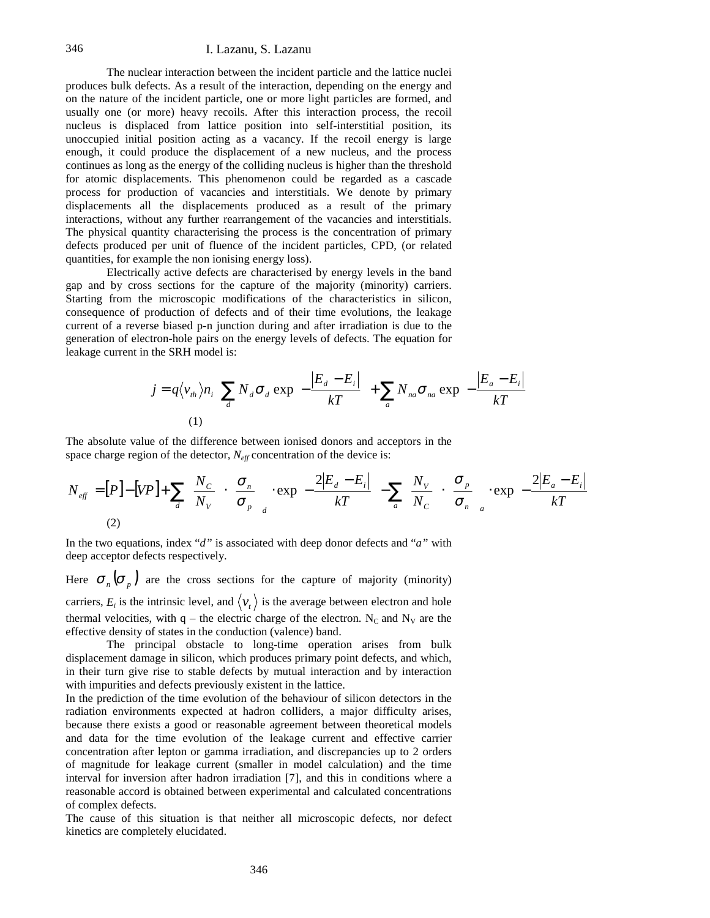#### 346 I. Lazanu, S. Lazanu

The nuclear interaction between the incident particle and the lattice nuclei produces bulk defects. As a result of the interaction, depending on the energy and on the nature of the incident particle, one or more light particles are formed, and usually one (or more) heavy recoils. After this interaction process, the recoil nucleus is displaced from lattice position into self-interstitial position, its unoccupied initial position acting as a vacancy. If the recoil energy is large enough, it could produce the displacement of a new nucleus, and the process continues as long as the energy of the colliding nucleus is higher than the threshold for atomic displacements. This phenomenon could be regarded as a cascade process for production of vacancies and interstitials. We denote by primary displacements all the displacements produced as a result of the primary interactions, without any further rearrangement of the vacancies and interstitials. The physical quantity characterising the process is the concentration of primary defects produced per unit of fluence of the incident particles, CPD, (or related quantities, for example the non ionising energy loss).

Electrically active defects are characterised by energy levels in the band gap and by cross sections for the capture of the majority (minority) carriers. Starting from the microscopic modifications of the characteristics in silicon, consequence of production of defects and of their time evolutions, the leakage current of a reverse biased p-n junction during and after irradiation is due to the generation of electron-hole pairs on the energy levels of defects. The equation for leakage current in the SRH model is:

$$
j = q \langle v_{th} \rangle n_i \left[ \sum_{d} N_d \sigma_d \exp \left( -\frac{|E_d - E_i|}{kT} \right) + \sum_{a} N_{na} \sigma_{na} \exp \left( -\frac{|E_a - E_i|}{kT} \right) \right]
$$
  
(1)

The absolute value of the difference between ionised donors and acceptors in the space charge region of the detector*, Neff* concentration of the device is:

$$
N_{\text{eff}} = [P] - [VP] + \sum_{d} \left( \frac{N_C}{N_V} \right) \cdot \left( \frac{\sigma_n}{\sigma_p} \right)_{d} \cdot \exp \left( -\frac{2|E_d - E_i|}{kT} \right) - \sum_{a} \left( \frac{N_V}{N_C} \right) \cdot \left( \frac{\sigma_p}{\sigma_n} \right)_{a} \cdot \exp \left( -\frac{2|E_a - E_i|}{kT} \right)
$$
\n(2)

In the two equations, index "*d"* is associated with deep donor defects and "*a"* with deep acceptor defects respectively.

Here  $\sigma_{n}(\sigma_{p})$  are the cross sections for the capture of majority (minority) carriers,  $E_i$  is the intrinsic level, and  $\langle v_t \rangle$  is the average between electron and hole thermal velocities, with  $q$  – the electric charge of the electron. N<sub>C</sub> and N<sub>V</sub> are the effective density of states in the conduction (valence) band.

The principal obstacle to long-time operation arises from bulk displacement damage in silicon, which produces primary point defects, and which, in their turn give rise to stable defects by mutual interaction and by interaction with impurities and defects previously existent in the lattice.

In the prediction of the time evolution of the behaviour of silicon detectors in the radiation environments expected at hadron colliders, a major difficulty arises, because there exists a good or reasonable agreement between theoretical models and data for the time evolution of the leakage current and effective carrier concentration after lepton or gamma irradiation, and discrepancies up to 2 orders of magnitude for leakage current (smaller in model calculation) and the time interval for inversion after hadron irradiation [7], and this in conditions where a reasonable accord is obtained between experimental and calculated concentrations of complex defects.

The cause of this situation is that neither all microscopic defects, nor defect kinetics are completely elucidated.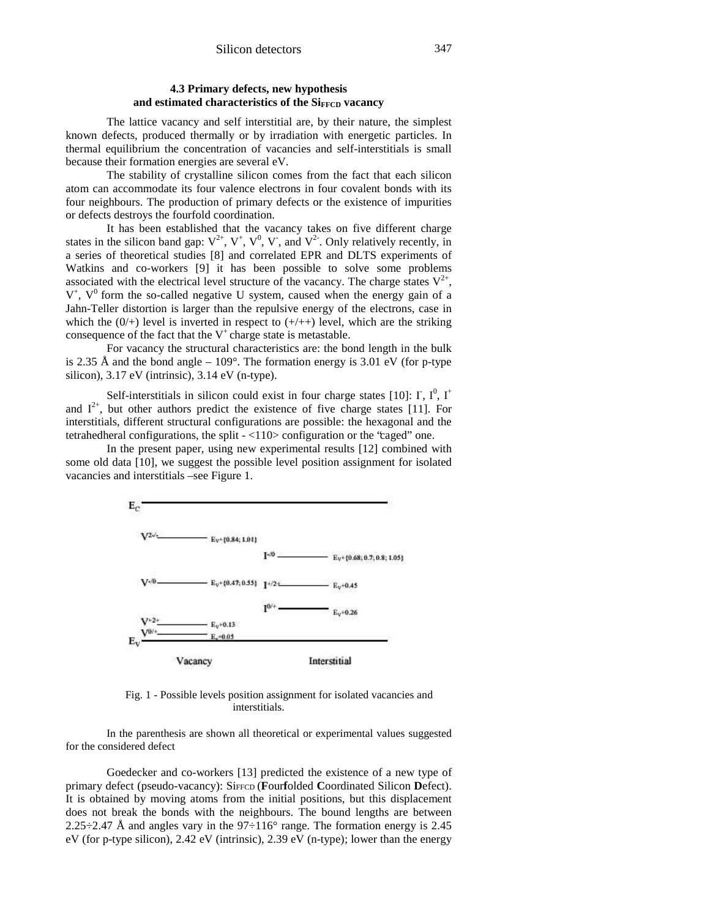# **4.3 Primary defects, new hypothesis** and estimated characteristics of the Si<sub>FFCD</sub> vacancy

The lattice vacancy and self interstitial are, by their nature, the simplest known defects, produced thermally or by irradiation with energetic particles. In thermal equilibrium the concentration of vacancies and self-interstitials is small because their formation energies are several eV.

The stability of crystalline silicon comes from the fact that each silicon atom can accommodate its four valence electrons in four covalent bonds with its four neighbours. The production of primary defects or the existence of impurities or defects destroys the fourfold coordination.

It has been established that the vacancy takes on five different charge states in the silicon band gap:  $V^{2+}$ ,  $V^{+}$ ,  $V^{0}$ ,  $V^{-}$ , and  $V^{2-}$ . Only relatively recently, in a series of theoretical studies [8] and correlated EPR and DLTS experiments of Watkins and co-workers [9] it has been possible to solve some problems associated with the electrical level structure of the vacancy. The charge states  $V^{2+}$ ,  $V^+$ ,  $V^0$  form the so-called negative U system, caused when the energy gain of a Jahn-Teller distortion is larger than the repulsive energy of the electrons, case in which the  $(0/+)$  level is inverted in respect to  $(+/++)$  level, which are the striking consequence of the fact that the  $V^+$ charge state is metastable.

For vacancy the structural characteristics are: the bond length in the bulk is 2.35 Å and the bond angle –  $109^\circ$ . The formation energy is 3.01 eV (for p-type silicon), 3.17 eV (intrinsic), 3.14 eV (n-type).

Self-interstitials in silicon could exist in four charge states [10]:  $\Gamma$ ,  $\Gamma^0$ ,  $\Gamma^+$ and  $I^{2+}$ , but other authors predict the existence of five charge states [11]. For interstitials, different structural configurations are possible: the hexagonal and the tetrahedheral configurations, the split - <110> configuration or the "caged" one.

In the present paper, using new experimental results [12] combined with some old data [10], we suggest the possible level position assignment for isolated vacancies and interstitials –see Figure 1.



Fig. 1 - Possible levels position assignment for isolated vacancies and interstitials.

In the parenthesis are shown all theoretical or experimental values suggested for the considered defect

Goedecker and co-workers [13] predicted the existence of a new type of primary defect (pseudo-vacancy): SiFFCD (**F**our**f**olded **C**oordinated Silicon **D**efect). It is obtained by moving atoms from the initial positions, but this displacement does not break the bonds with the neighbours. The bound lengths are between 2.25 $\div$ 2.47 Å and angles vary in the 97 $\div$ 116 $\degree$  range. The formation energy is 2.45 eV (for p-type silicon), 2.42 eV (intrinsic), 2.39 eV (n-type); lower than the energy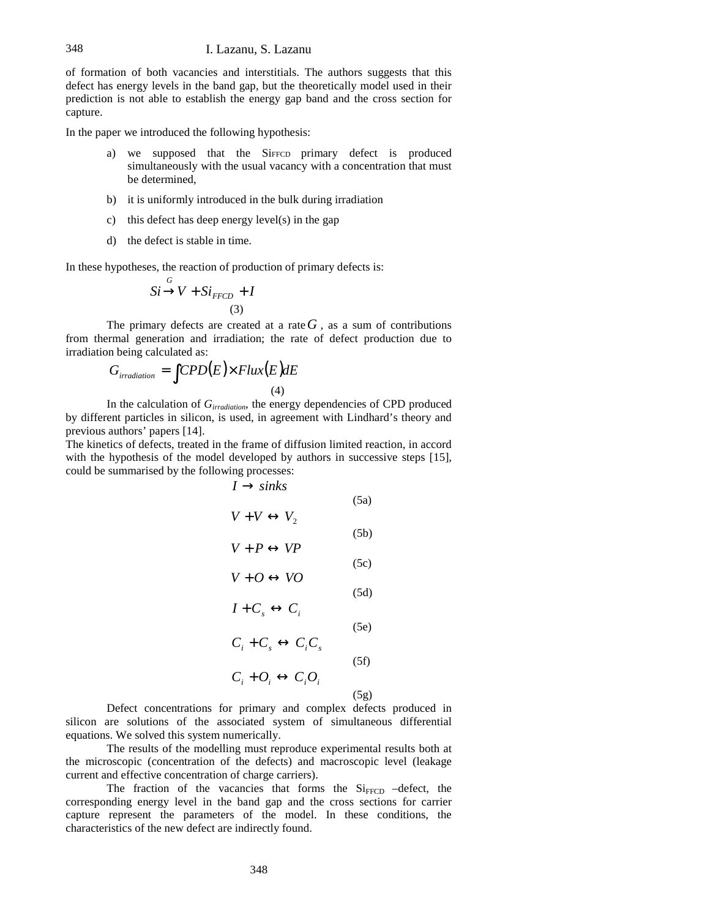of formation of both vacancies and interstitials. The authors suggests that this defect has energy levels in the band gap, but the theoretically model used in their prediction is not able to establish the energy gap band and the cross section for capture.

In the paper we introduced the following hypothesis:

- a) we supposed that the SiFFCD primary defect is produced simultaneously with the usual vacancy with a concentration that must be determined,
- b) it is uniformly introduced in the bulk during irradiation
- c) this defect has deep energy level(s) in the gap
- d) the defect is stable in time.

*G*

In these hypotheses, the reaction of production of primary defects is:

$$
Si \rightarrow V + Si_{FFCD} + I
$$
  
(3)

The primary defects are created at a rate  $G$ , as a sum of contributions from thermal generation and irradiation; the rate of defect production due to irradiation being calculated as:

$$
G_{irradiation} = \int CPD(E) \times Flux(E)dE
$$
\n(4)

In the calculation of *Girradiation*, the energy dependencies of CPD produced by different particles in silicon, is used, in agreement with Lindhard's theory and previous authors' papers [14].

The kinetics of defects, treated in the frame of diffusion limited reaction, in accord with the hypothesis of the model developed by authors in successive steps [15], could be summarised by the following processes:

$$
I \rightarrow sinks
$$
\n
$$
V + V \leftrightarrow V_{2}
$$
\n(5a)  
\n
$$
V + P \leftrightarrow VP
$$
\n(5c)  
\n
$$
V + O \leftrightarrow VO
$$
\n(5d)  
\n
$$
I + C_{s} \leftrightarrow C_{i}
$$
\n(5e)  
\n
$$
C_{i} + C_{s} \leftrightarrow C_{i}C_{s}
$$
\n(5f)  
\n
$$
C_{i} + O_{i} \leftrightarrow C_{i}O_{i}
$$
\n(5g)

Defect concentrations for primary and complex defects produced in silicon are solutions of the associated system of simultaneous differential equations. We solved this system numerically.

The results of the modelling must reproduce experimental results both at the microscopic (concentration of the defects) and macroscopic level (leakage current and effective concentration of charge carriers).

The fraction of the vacancies that forms the  $Si<sub>FFCD</sub>$  –defect, the corresponding energy level in the band gap and the cross sections for carrier capture represent the parameters of the model. In these conditions, the characteristics of the new defect are indirectly found.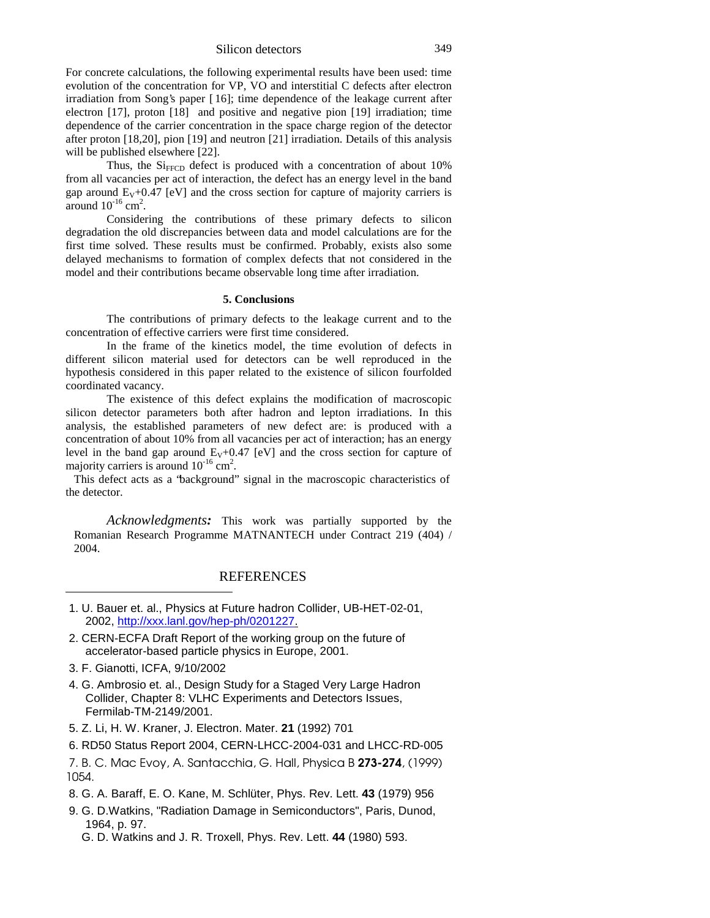Silicon detectors 349

For concrete calculations, the following experimental results have been used: time evolution of the concentration for VP, VO and interstitial C defects after electron irradiation from Song's paper [ 16]; time dependence of the leakage current after electron [17], proton [18] and positive and negative pion [19] irradiation; time dependence of the carrier concentration in the space charge region of the detector after proton [18,20], pion [19] and neutron [21] irradiation. Details of this analysis will be published elsewhere [22].

Thus, the  $Si$ <sub>FFCD</sub> defect is produced with a concentration of about 10% from all vacancies per act of interaction, the defect has an energy level in the band gap around  $E_V + 0.47$  [eV] and the cross section for capture of majority carriers is around  $10^{-16}$  cm<sup>2</sup>.

Considering the contributions of these primary defects to silicon degradation the old discrepancies between data and model calculations are for the first time solved. These results must be confirmed. Probably, exists also some delayed mechanisms to formation of complex defects that not considered in the model and their contributions became observable long time after irradiation.

## **5. Conclusions**

The contributions of primary defects to the leakage current and to the concentration of effective carriers were first time considered.

In the frame of the kinetics model, the time evolution of defects in different silicon material used for detectors can be well reproduced in the hypothesis considered in this paper related to the existence of silicon fourfolded coordinated vacancy.

The existence of this defect explains the modification of macroscopic silicon detector parameters both after hadron and lepton irradiations. In this analysis, the established parameters of new defect are: is produced with a concentration of about 10% from all vacancies per act of interaction; has an energy level in the band gap around  $E_V + 0.47$  [eV] and the cross section for capture of majority carriers is around  $10^{-16}$  cm<sup>2</sup>.

This defect acts as a "background" signal in the macroscopic characteristics of the detector.

*Acknowledgments:* This work was partially supported by the Romanian Research Programme MATNANTECH under Contract 219 (404) / 2004.

# **REFERENCES**

- 1. U. Bauer et. al., Physics at Future hadron Collider, UB-HET-02-01, 2002, http://xxx.lanl.gov/hep-ph/0201227.
- 2. CERN-ECFA Draft Report of the working group on the future of accelerator-based particle physics in Europe, 2001.
- 3. F. Gianotti, ICFA, 9/10/2002

 $\overline{a}$ 

- 4. G. Ambrosio et. al., Design Study for a Staged Very Large Hadron Collider, Chapter 8: VLHC Experiments and Detectors Issues, Fermilab-TM-2149/2001.
- 5. Z. Li, H. W. Kraner, J. Electron. Mater. **21** (1992) 701
- 6. RD50 Status Report 2004, CERN-LHCC-2004-031 and LHCC-RD-005
- 7. B. C. Mac Evoy, A. Santacchia, G. Hall, Physica B 273-274, (1999) 1054.
- 8. G. A. Baraff, E. O. Kane, M. Schlüter, Phys. Rev. Lett. **43** (1979) 956
- 9. G. D.Watkins, "Radiation Damage in Semiconductors", Paris, Dunod, 1964, p. 97.
	- G. D. Watkins and J. R. Troxell, Phys. Rev. Lett. **44** (1980) 593.